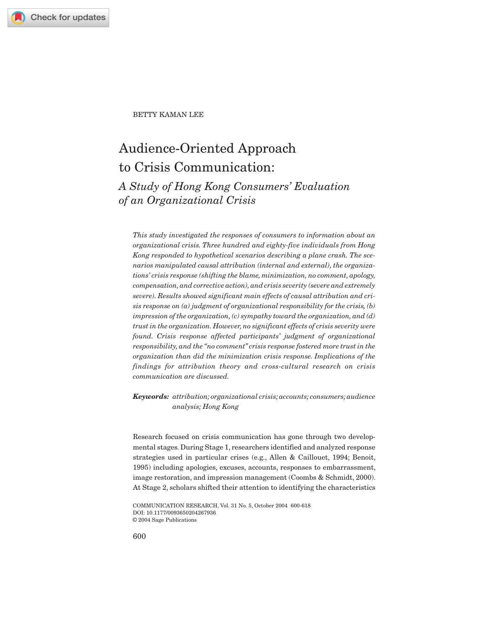BETTY KAMAN LEE

# Audience-Oriented Approach to Crisis Communication:

*A Study of Hong Kong Consumers' Evaluation of an Organizational Crisis*

*This study investigated the responses of consumers to information about an organizational crisis. Three hundred and eighty-five individuals from Hong Kong responded to hypothetical scenarios describing a plane crash. The scenarios manipulated causal attribution (internal and external), the organizations' crisis response (shifting the blame, minimization, no comment, apology, compensation, and corrective action), and crisis severity (severe and extremely severe). Results showed significant main effects of causal attribution and crisis response on (a) judgment of organizational responsibility for the crisis, (b) impression of the organization, (c) sympathy toward the organization, and (d) trust in the organization. However, no significant effects of crisis severity were found. Crisis response affected participants' judgment of organizational responsibility, and the "no comment" crisis response fostered more trust in the organization than did the minimization crisis response. Implications of the findings for attribution theory and cross-cultural research on crisis communication are discussed.*

*Keywords: attribution; organizational crisis; accounts; consumers;audience analysis; Hong Kong*

Research focused on crisis communication has gone through two developmental stages. During Stage 1, researchers identified and analyzed response strategies used in particular crises (e.g., Allen & Caillouet, 1994; Benoit, 1995) including apologies, excuses, accounts, responses to embarrassment, image restoration, and impression management (Coombs & Schmidt, 2000). At Stage 2, scholars shifted their attention to identifying the characteristics

COMMUNICATION RESEARCH, Vol. 31 No. 5, October 2004 600-618 DOI: 10.1177/0093650204267936 © 2004 Sage Publications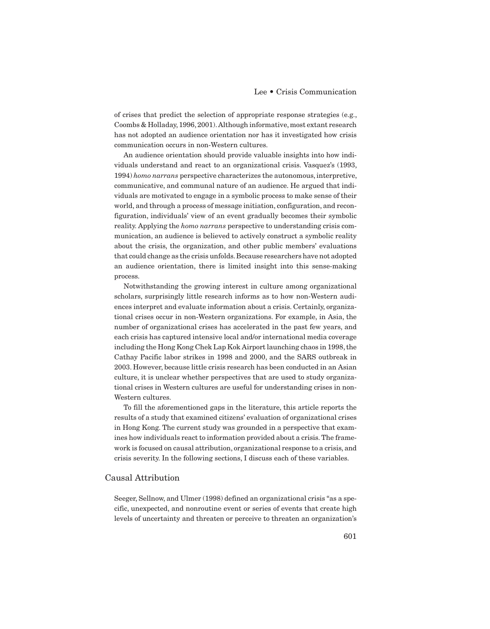of crises that predict the selection of appropriate response strategies (e.g., Coombs & Holladay, 1996,2001).Although informative, most extant research has not adopted an audience orientation nor has it investigated how crisis communication occurs in non-Western cultures.

An audience orientation should provide valuable insights into how individuals understand and react to an organizational crisis. Vasquez's (1993, 1994) *homo narrans* perspective characterizes the autonomous, interpretive, communicative, and communal nature of an audience. He argued that individuals are motivated to engage in a symbolic process to make sense of their world, and through a process of message initiation, configuration, and reconfiguration, individuals' view of an event gradually becomes their symbolic reality. Applying the *homo narrans* perspective to understanding crisis communication, an audience is believed to actively construct a symbolic reality about the crisis, the organization, and other public members' evaluations that could change as the crisis unfolds.Because researchers have not adopted an audience orientation, there is limited insight into this sense-making process.

Notwithstanding the growing interest in culture among organizational scholars, surprisingly little research informs as to how non-Western audiences interpret and evaluate information about a crisis. Certainly, organizational crises occur in non-Western organizations. For example, in Asia, the number of organizational crises has accelerated in the past few years, and each crisis has captured intensive local and/or international media coverage including the Hong Kong Chek Lap Kok Airport launching chaos in 1998, the Cathay Pacific labor strikes in 1998 and 2000, and the SARS outbreak in 2003. However, because little crisis research has been conducted in an Asian culture, it is unclear whether perspectives that are used to study organizational crises in Western cultures are useful for understanding crises in non-Western cultures.

To fill the aforementioned gaps in the literature, this article reports the results of a study that examined citizens' evaluation of organizational crises in Hong Kong. The current study was grounded in a perspective that examines how individuals react to information provided about a crisis. The framework is focused on causal attribution, organizational response to a crisis, and crisis severity. In the following sections, I discuss each of these variables.

## Causal Attribution

Seeger, Sellnow, and Ulmer (1998) defined an organizational crisis "as a specific, unexpected, and nonroutine event or series of events that create high levels of uncertainty and threaten or perceive to threaten an organization's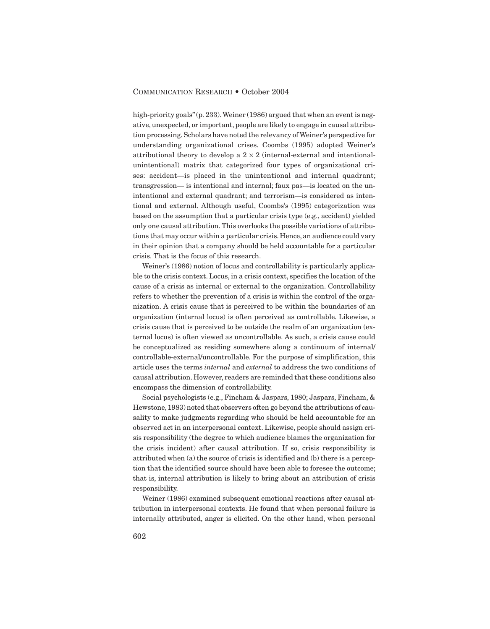high-priority goals" (p. 233). Weiner (1986) argued that when an event is negative, unexpected, or important, people are likely to engage in causal attribution processing. Scholars have noted the relevancy of Weiner's perspective for understanding organizational crises. Coombs (1995) adopted Weiner's attributional theory to develop a  $2 \times 2$  (internal-external and intentionalunintentional) matrix that categorized four types of organizational crises: accident—is placed in the unintentional and internal quadrant; transgression— is intentional and internal; faux pas—is located on the unintentional and external quadrant; and terrorism—is considered as intentional and external. Although useful, Coombs's (1995) categorization was based on the assumption that a particular crisis type (e.g., accident) yielded only one causal attribution. This overlooks the possible variations of attributions that may occur within a particular crisis. Hence, an audience could vary in their opinion that a company should be held accountable for a particular crisis. That is the focus of this research.

Weiner's (1986) notion of locus and controllability is particularly applicable to the crisis context. Locus, in a crisis context, specifies the location of the cause of a crisis as internal or external to the organization. Controllability refers to whether the prevention of a crisis is within the control of the organization. A crisis cause that is perceived to be within the boundaries of an organization (internal locus) is often perceived as controllable. Likewise, a crisis cause that is perceived to be outside the realm of an organization (external locus) is often viewed as uncontrollable. As such, a crisis cause could be conceptualized as residing somewhere along a continuum of internal/ controllable-external/uncontrollable. For the purpose of simplification, this article uses the terms *internal* and *external* to address the two conditions of causal attribution. However, readers are reminded that these conditions also encompass the dimension of controllability.

Social psychologists (e.g., Fincham & Jaspars, 1980; Jaspars, Fincham, & Hewstone,1983) noted that observers often go beyond the attributions of causality to make judgments regarding who should be held accountable for an observed act in an interpersonal context. Likewise, people should assign crisis responsibility (the degree to which audience blames the organization for the crisis incident) after causal attribution. If so, crisis responsibility is attributed when (a) the source of crisis is identified and (b) there is a perception that the identified source should have been able to foresee the outcome; that is, internal attribution is likely to bring about an attribution of crisis responsibility.

Weiner (1986) examined subsequent emotional reactions after causal attribution in interpersonal contexts. He found that when personal failure is internally attributed, anger is elicited. On the other hand, when personal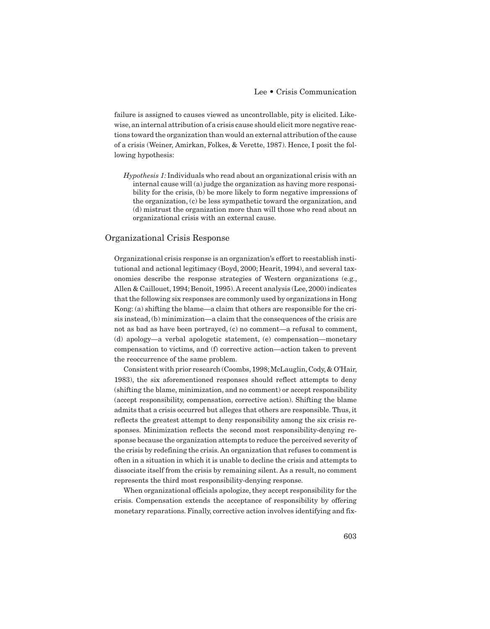failure is assigned to causes viewed as uncontrollable, pity is elicited. Likewise, an internal attribution of a crisis cause should elicit more negative reactions toward the organization than would an external attribution of the cause of a crisis (Weiner, Amirkan, Folkes, & Verette, 1987). Hence, I posit the following hypothesis:

*Hypothesis 1:* Individuals who read about an organizational crisis with an internal cause will (a) judge the organization as having more responsibility for the crisis, (b) be more likely to form negative impressions of the organization, (c) be less sympathetic toward the organization, and (d) mistrust the organization more than will those who read about an organizational crisis with an external cause.

## Organizational Crisis Response

Organizational crisis response is an organization's effort to reestablish institutional and actional legitimacy (Boyd, 2000; Hearit, 1994), and several taxonomies describe the response strategies of Western organizations (e.g., Allen & Caillouet, 1994; Benoit, 1995). A recent analysis (Lee, 2000) indicates that the following six responses are commonly used by organizations in Hong Kong: (a) shifting the blame—a claim that others are responsible for the crisis instead, (b) minimization—a claim that the consequences of the crisis are not as bad as have been portrayed, (c) no comment—a refusal to comment, (d) apology—a verbal apologetic statement, (e) compensation—monetary compensation to victims, and (f) corrective action—action taken to prevent the reoccurrence of the same problem.

Consistent with prior research (Coombs, 1998; McLauglin, Cody, & O'Hair, 1983), the six aforementioned responses should reflect attempts to deny (shifting the blame, minimization, and no comment) or accept responsibility (accept responsibility, compensation, corrective action). Shifting the blame admits that a crisis occurred but alleges that others are responsible. Thus, it reflects the greatest attempt to deny responsibility among the six crisis responses. Minimization reflects the second most responsibility-denying response because the organization attempts to reduce the perceived severity of the crisis by redefining the crisis. An organization that refuses to comment is often in a situation in which it is unable to decline the crisis and attempts to dissociate itself from the crisis by remaining silent. As a result, no comment represents the third most responsibility-denying response.

When organizational officials apologize, they accept responsibility for the crisis. Compensation extends the acceptance of responsibility by offering monetary reparations. Finally, corrective action involves identifying and fix-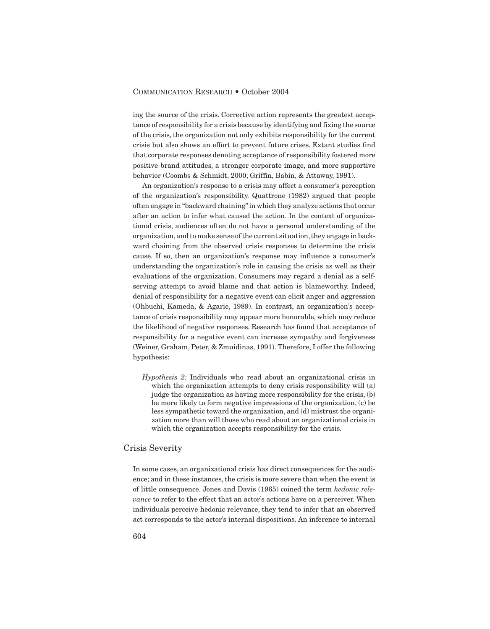ing the source of the crisis. Corrective action represents the greatest acceptance of responsibility for a crisis because by identifying and fixing the source of the crisis, the organization not only exhibits responsibility for the current crisis but also shows an effort to prevent future crises. Extant studies find that corporate responses denoting acceptance of responsibility fostered more positive brand attitudes, a stronger corporate image, and more supportive behavior (Coombs & Schmidt, 2000; Griffin, Babin, & Attaway, 1991).

An organization's response to a crisis may affect a consumer's perception of the organization's responsibility. Quattrone (1982) argued that people often engage in "backward chaining" in which they analyze actions that occur after an action to infer what caused the action. In the context of organizational crisis, audiences often do not have a personal understanding of the organization,and to make sense of the current situation,they engage in backward chaining from the observed crisis responses to determine the crisis cause. If so, then an organization's response may influence a consumer's understanding the organization's role in causing the crisis as well as their evaluations of the organization. Consumers may regard a denial as a selfserving attempt to avoid blame and that action is blameworthy. Indeed, denial of responsibility for a negative event can elicit anger and aggression (Ohbuchi, Kameda, & Agarie, 1989). In contrast, an organization's acceptance of crisis responsibility may appear more honorable, which may reduce the likelihood of negative responses. Research has found that acceptance of responsibility for a negative event can increase sympathy and forgiveness (Weiner, Graham, Peter, & Zmuidinas, 1991). Therefore, I offer the following hypothesis:

*Hypothesis 2:* Individuals who read about an organizational crisis in which the organization attempts to deny crisis responsibility will (a) judge the organization as having more responsibility for the crisis, (b) be more likely to form negative impressions of the organization, (c) be less sympathetic toward the organization, and (d) mistrust the organization more than will those who read about an organizational crisis in which the organization accepts responsibility for the crisis.

## Crisis Severity

In some cases, an organizational crisis has direct consequences for the audience; and in these instances, the crisis is more severe than when the event is of little consequence. Jones and Davis (1965) coined the term *hedonic relevance* to refer to the effect that an actor's actions have on a perceiver. When individuals perceive hedonic relevance, they tend to infer that an observed act corresponds to the actor's internal dispositions. An inference to internal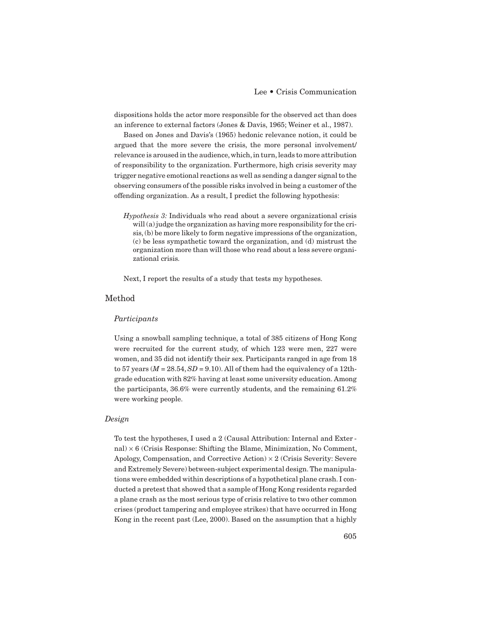dispositions holds the actor more responsible for the observed act than does an inference to external factors (Jones & Davis, 1965; Weiner et al., 1987).

Based on Jones and Davis's (1965) hedonic relevance notion, it could be argued that the more severe the crisis, the more personal involvement/ relevance is aroused in the audience, which, in turn, leads to more attribution of responsibility to the organization. Furthermore, high crisis severity may trigger negative emotional reactions as well as sending a danger signal to the observing consumers of the possible risks involved in being a customer of the offending organization. As a result, I predict the following hypothesis:

*Hypothesis 3:* Individuals who read about a severe organizational crisis will (a) judge the organization as having more responsibility for the crisis, (b) be more likely to form negative impressions of the organization, (c) be less sympathetic toward the organization, and (d) mistrust the organization more than will those who read about a less severe organizational crisis.

Next, I report the results of a study that tests my hypotheses.

## Method

## *Participants*

Using a snowball sampling technique, a total of 385 citizens of Hong Kong were recruited for the current study, of which 123 were men, 227 were women, and 35 did not identify their sex. Participants ranged in age from 18 to 57 years  $(M = 28.54, SD = 9.10)$ . All of them had the equivalency of a 12thgrade education with 82% having at least some university education. Among the participants, 36.6% were currently students, and the remaining 61.2% were working people.

#### *Design*

To test the hypotheses, I used a 2 (Causal Attribution: Internal and Exter nal)  $\times$  6 (Crisis Response: Shifting the Blame, Minimization, No Comment, Apology, Compensation, and Corrective Action)  $\times$  2 (Crisis Severity: Severe and Extremely Severe) between-subject experimental design. The manipulations were embedded within descriptions of a hypothetical plane crash. I conducted a pretest that showed that a sample of Hong Kong residents regarded a plane crash as the most serious type of crisis relative to two other common crises (product tampering and employee strikes) that have occurred in Hong Kong in the recent past (Lee, 2000). Based on the assumption that a highly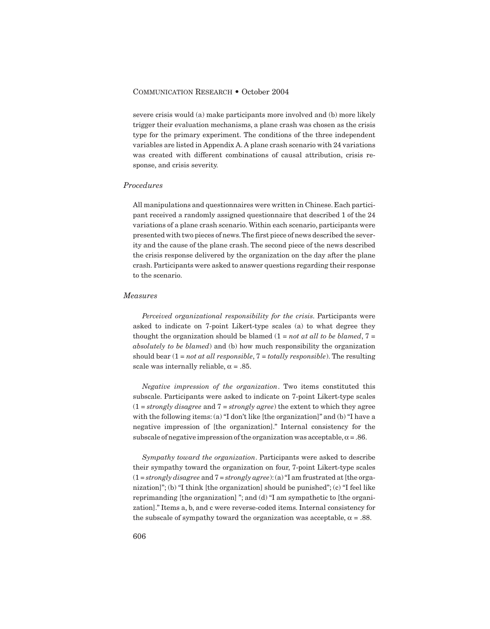severe crisis would (a) make participants more involved and (b) more likely trigger their evaluation mechanisms, a plane crash was chosen as the crisis type for the primary experiment. The conditions of the three independent variables are listed in Appendix A. A plane crash scenario with 24 variations was created with different combinations of causal attribution, crisis response, and crisis severity.

## *Procedures*

All manipulations and questionnaires were written in Chinese. Each participant received a randomly assigned questionnaire that described 1 of the 24 variations of a plane crash scenario. Within each scenario, participants were presented with two pieces of news.The first piece of news described the severity and the cause of the plane crash. The second piece of the news described the crisis response delivered by the organization on the day after the plane crash. Participants were asked to answer questions regarding their response to the scenario.

#### *Measures*

*Perceived organizational responsibility for the crisis*. Participants were asked to indicate on 7-point Likert-type scales (a) to what degree they thought the organization should be blamed  $(1 = not at all to be blamed, 7 =$ *absolutely to be blamed*) and (b) how much responsibility the organization should bear (1 = *not at all responsible*,7= *totally responsible*). The resulting scale was internally reliable,  $\alpha = .85$ .

*Negative impression of the organization*. Two items constituted this subscale. Participants were asked to indicate on 7-point Likert-type scales (1 = *strongly disagree* and 7 = *strongly agree*) the extent to which they agree with the following items: (a) "I don't like [the organization]" and (b) "I have a negative impression of [the organization]." Internal consistency for the subscale of negative impression of the organization was acceptable,  $\alpha$  = .86.

*Sympathy toward the organization*. Participants were asked to describe their sympathy toward the organization on four, 7-point Likert-type scales (1 = *strongly disagree* and 7 = *strongly agree*):(a) "I am frustrated at [the organization]"; (b) "I think [the organization] should be punished"; (c) "I feel like reprimanding [the organization] "; and (d) "I am sympathetic to [the organization]." Items a, b, and c were reverse-coded items. Internal consistency for the subscale of sympathy toward the organization was acceptable,  $\alpha = .88$ .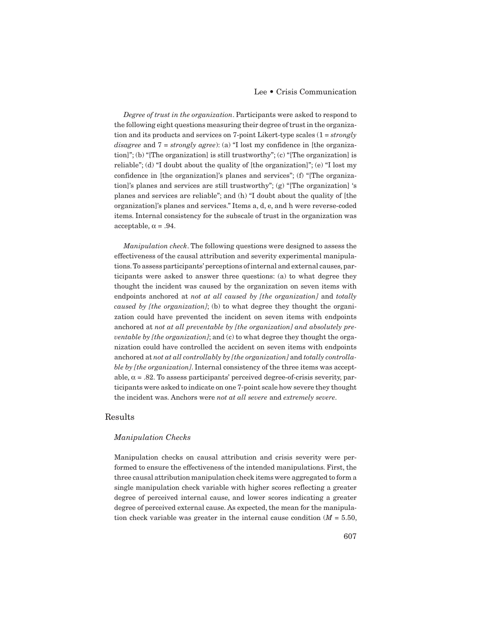*Degree of trust in the organization*. Participants were asked to respond to the following eight questions measuring their degree of trust in the organization and its products and services on 7-point Likert-type scales (1 = *strongly disagree* and 7 = *strongly agree*): (a) "I lost my confidence in [the organization]"; (b) "[The organization] is still trustworthy"; (c) "[The organization] is reliable"; (d) "I doubt about the quality of [the organization]"; (e) "I lost my confidence in [the organization]'s planes and services"; (f) "[The organization]'s planes and services are still trustworthy"; (g) "[The organization] 's planes and services are reliable"; and (h) "I doubt about the quality of [the organization]'s planes and services." Items a, d, e, and h were reverse-coded items. Internal consistency for the subscale of trust in the organization was acceptable,  $\alpha = .94$ .

*Manipulation check*. The following questions were designed to assess the effectiveness of the causal attribution and severity experimental manipulations.To assess participants' perceptions of internal and external causes,participants were asked to answer three questions: (a) to what degree they thought the incident was caused by the organization on seven items with endpoints anchored at *not at all caused by [the organization]* and *totally caused by [the organization]*; (b) to what degree they thought the organization could have prevented the incident on seven items with endpoints anchored at *not at all preventable by [the organization] and absolutely preventable by [the organization]*; and (c) to what degree they thought the organization could have controlled the accident on seven items with endpoints anchored at *not at all controllably by [the organization]* and *totally controllable by [the organization]*. Internal consistency of the three items was acceptable,  $\alpha$  = .82. To assess participants' perceived degree-of-crisis severity, participants were asked to indicate on one 7-point scale how severe they thought the incident was. Anchors were *not at all severe* and *extremely severe*.

## Results

#### *Manipulation Checks*

Manipulation checks on causal attribution and crisis severity were performed to ensure the effectiveness of the intended manipulations. First, the three causal attribution manipulation check items were aggregated to form a single manipulation check variable with higher scores reflecting a greater degree of perceived internal cause, and lower scores indicating a greater degree of perceived external cause. As expected, the mean for the manipulation check variable was greater in the internal cause condition  $(M = 5.50)$ ,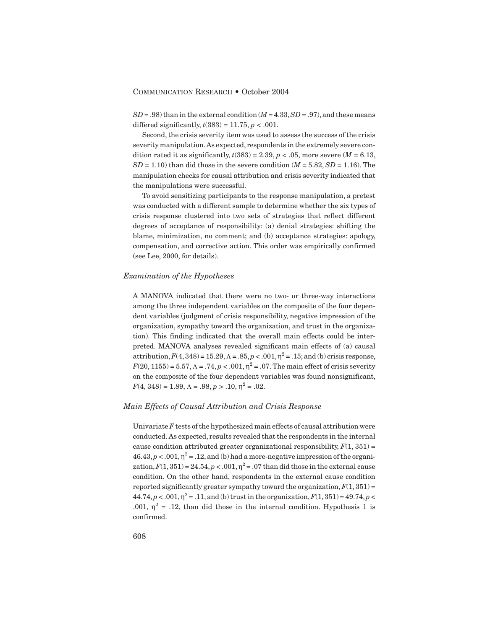$SD = .98$ ) than in the external condition ( $M = 4.33$ ,  $SD = .97$ ), and these means differed significantly,  $t(383) = 11.75$ ,  $p < .001$ .

Second, the crisis severity item was used to assess the success of the crisis severity manipulation. As expected, respondents in the extremely severe condition rated it as significantly,  $t(383) = 2.39$ ,  $p < .05$ , more severe (*M* = 6.13,  $SD = 1.10$ ) than did those in the severe condition ( $M = 5.82$ ,  $SD = 1.16$ ). The manipulation checks for causal attribution and crisis severity indicated that the manipulations were successful.

To avoid sensitizing participants to the response manipulation, a pretest was conducted with a different sample to determine whether the six types of crisis response clustered into two sets of strategies that reflect different degrees of acceptance of responsibility: (a) denial strategies: shifting the blame, minimization, no comment; and (b) acceptance strategies: apology, compensation, and corrective action. This order was empirically confirmed (see Lee, 2000, for details).

## *Examination of the Hypotheses*

A MANOVA indicated that there were no two- or three-way interactions among the three independent variables on the composite of the four dependent variables (judgment of crisis responsibility, negative impression of the organization, sympathy toward the organization, and trust in the organization). This finding indicated that the overall main effects could be interpreted. MANOVA analyses revealed significant main effects of (a) causal attribution,  $F(4,348) = 15.29$ ,  $\Lambda = .85$ ,  $p < .001$ ,  $\eta^2 = .15$ ; and (b) crisis response,  $F(20, 1155) = 5.57, \Lambda = .74, p < .001, \eta^2 = .07$ . The main effect of crisis severity on the composite of the four dependent variables was found nonsignificant,  $F(4, 348) = 1.89, \Lambda = .98, p > .10, \eta^2 = .02.$ 

## *Main Effects of Causal Attribution and Crisis Response*

Univariate  $F$  tests of the hypothesized main effects of causal attribution were conducted. As expected, results revealed that the respondents in the internal cause condition attributed greater organizational responsibility,  $F(1, 351) =$  $46.43, p < .001, \eta^2 = .12$ , and (b) had a more-negative impression of the organization,  $F(1, 351) = 24.54$ ,  $p < .001$ ,  $\eta^2 = .07$  than did those in the external cause condition. On the other hand, respondents in the external cause condition reported significantly greater sympathy toward the organization,  $F(1, 351) =$  $44.74, p < .001, \eta^2 = .11,$  and (b) trust in the organization,  $F(1, 351) = 49.74, p <$ .001,  $\eta^2$  = .12, than did those in the internal condition. Hypothesis 1 is confirmed.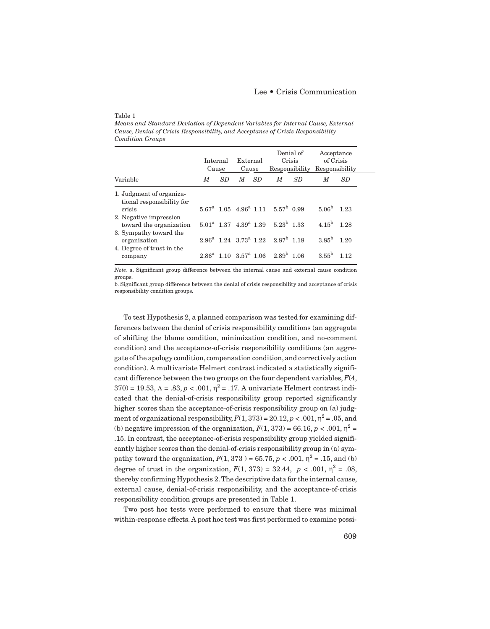*Means and Standard Deviation of Dependent Variables for Internal Cause, External Cause, Denial of Crisis Responsibility, and Acceptance of Crisis Responsibility Condition Groups*

Table 1

|                                                       | Internal<br>Cause |           | External<br>Cause |     | Denial of<br>Crisis<br>Responsibility                                |           | Acceptance<br>of Crisis<br>Responsibility |           |
|-------------------------------------------------------|-------------------|-----------|-------------------|-----|----------------------------------------------------------------------|-----------|-------------------------------------------|-----------|
| Variable                                              | M                 | <b>SD</b> | M                 | SD. | $\boldsymbol{M}$                                                     | <b>SD</b> | M                                         | <b>SD</b> |
| 1. Judgment of organiza-<br>tional responsibility for |                   |           |                   |     |                                                                      |           |                                           |           |
| crisis<br>2. Negative impression                      |                   |           |                   |     | $5.67^{\text{a}}$ 1.05 4.96 <sup>a</sup> 1.11 5.57 <sup>b</sup> 0.99 |           | $5.06^b$ 1.23                             |           |
| toward the organization<br>3. Sympathy toward the     |                   |           |                   |     | $5.01^a$ 1.37 4.39 <sup>a</sup> 1.39 5.23 <sup>b</sup> 1.33          |           | $4.15^{\rm b}$ 1.28                       |           |
| organization<br>4. Degree of trust in the             |                   |           |                   |     | $2.96^a$ 1.24 $3.73^a$ 1.22 $2.87^b$ 1.18                            |           | $3.85^{\rm b}$ 1.20                       |           |
| company                                               |                   |           |                   |     | $2.86^a$ 1.10 $3.57^a$ 1.06 $2.89^b$ 1.06                            |           | $3.55^{b}$                                | 1 1 2     |

*Note.* a. Significant group difference between the internal cause and external cause condition groups.

b. Significant group difference between the denial of crisis responsibility and acceptance of crisis responsibility condition groups.

To test Hypothesis 2, a planned comparison was tested for examining differences between the denial of crisis responsibility conditions (an aggregate of shifting the blame condition, minimization condition, and no-comment condition) and the acceptance-of-crisis responsibility conditions (an aggregate of the apology condition,compensation condition,and correctively action condition). A multivariate Helmert contrast indicated a statistically significant difference between the two groups on the four dependent variables,  $F(4, 1)$ 370) = 19.53,  $\Lambda = .83, p < .001, \eta^2 = .17$ . A univariate Helmert contrast indicated that the denial-of-crisis responsibility group reported significantly higher scores than the acceptance-of-crisis responsibility group on (a) judgment of organizational responsibility,  $F(1, 373) = 20.12$ ,  $p < .001$ ,  $\eta^2 = .05$ , and (b) negative impression of the organization,  $F(1, 373) = 66.16$ ,  $p < .001$ ,  $\eta^2 =$ .15. In contrast, the acceptance-of-crisis responsibility group yielded significantly higher scores than the denial-of-crisis responsibility group in (a) sympathy toward the organization,  $F(1, 373) = 65.75$ ,  $p < .001$ ,  $\eta^2 = .15$ , and (b) degree of trust in the organization,  $F(1, 373) = 32.44$ ,  $p < .001$ ,  $\eta^2 = .08$ , thereby confirming Hypothesis 2. The descriptive data for the internal cause, external cause, denial-of-crisis responsibility, and the acceptance-of-crisis responsibility condition groups are presented in Table 1.

Two post hoc tests were performed to ensure that there was minimal within-response effects. A post hoc test was first performed to examine possi-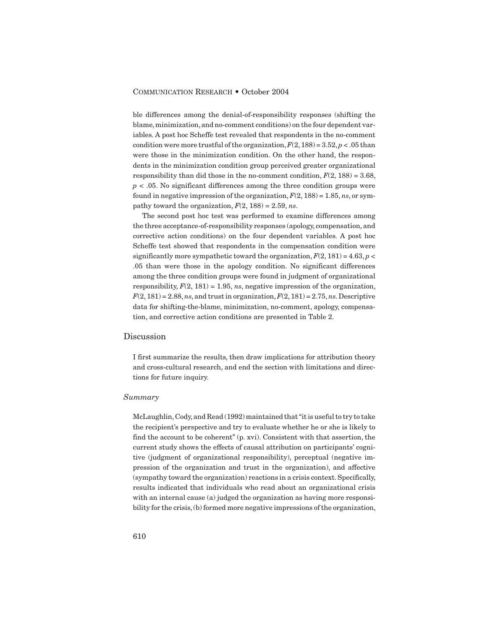ble differences among the denial-of-responsibility responses (shifting the blame,minimization,and no-comment conditions) on the four dependent variables. A post hoc Scheffe test revealed that respondents in the no-comment condition were more trustful of the organization,  $F(2, 188) = 3.52, p < .05$  than were those in the minimization condition. On the other hand, the respondents in the minimization condition group perceived greater organizational responsibility than did those in the no-comment condition,  $F(2, 188) = 3.68$ ,  $p < .05$ . No significant differences among the three condition groups were found in negative impression of the organization,  $F(2, 188) = 1.85$ , *ns*, or sympathy toward the organization,  $F(2, 188) = 2.59$ , *ns*.

The second post hoc test was performed to examine differences among the three acceptance-of-responsibility responses (apology, compensation,and corrective action conditions) on the four dependent variables. A post hoc Scheffe test showed that respondents in the compensation condition were significantly more sympathetic toward the organization,  $F(2, 181) = 4.63$ ,  $p <$ .05 than were those in the apology condition. No significant differences among the three condition groups were found in judgment of organizational responsibility,  $F(2, 181) = 1.95$ , *ns*, negative impression of the organization,  $F(2, 181) = 2.88$ , ns, and trust in organization,  $F(2, 181) = 2.75$ , ns. Descriptive data for shifting-the-blame, minimization, no-comment, apology, compensation, and corrective action conditions are presented in Table 2.

## Discussion

I first summarize the results, then draw implications for attribution theory and cross-cultural research, and end the section with limitations and directions for future inquiry.

#### *Summary*

McLaughlin, Cody,and Read (1992) maintained that "it is useful to try to take the recipient's perspective and try to evaluate whether he or she is likely to find the account to be coherent" (p. xvi). Consistent with that assertion, the current study shows the effects of causal attribution on participants' cognitive (judgment of organizational responsibility), perceptual (negative impression of the organization and trust in the organization), and affective (sympathy toward the organization) reactions in a crisis context. Specifically, results indicated that individuals who read about an organizational crisis with an internal cause (a) judged the organization as having more responsibility for the crisis, (b) formed more negative impressions of the organization,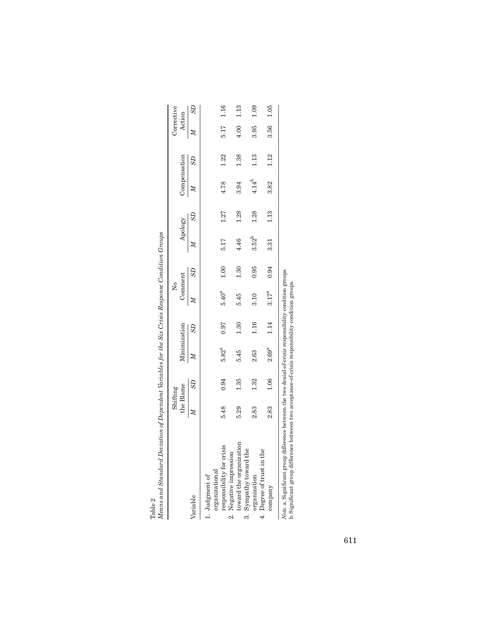|                                     |                          | Shifting  |                   |         | ž          |      |            |         |              |      |                  | Corrective |
|-------------------------------------|--------------------------|-----------|-------------------|---------|------------|------|------------|---------|--------------|------|------------------|------------|
|                                     |                          | the Blame | Minimization      |         | Comment    |      |            | Apology | Compensation |      |                  | Action     |
| Variable                            |                          | $^{5D}$   |                   | $^{5D}$ |            |      |            | $^{SD}$ | A            |      | $\boldsymbol{z}$ | $^{5D}$    |
| . Judgment of                       |                          |           |                   |         |            |      |            |         |              |      |                  |            |
| organizational                      |                          |           |                   |         |            |      |            |         |              |      |                  |            |
| responsibility for crisis           | 5.48                     | 0.94      | $5.82^{a}$        | 0.97    | $5.40^{a}$ | 1.00 | 5.17       | 1.27    | 4.78         | 1.22 | 5.17             | 1.16       |
| 2. Negative impression              |                          |           |                   |         |            |      |            |         |              |      |                  |            |
| toward the organization             | 5.29                     | 1.35      | 5.45              | 1.30    | 5.45       | 1.30 | 4.46       | 1.28    | 3.94         | 1.38 | 4.00             | 1.13       |
| 3. Sympathy toward the organization |                          |           |                   |         |            |      |            |         |              |      |                  |            |
|                                     | 2.83                     | 1.32      | 2.63              | 1.16    | 3.10       | 0.95 | $3.52^{b}$ | 1.28    | $4.14^{b}$   | 1.13 | 3.95             | 1.09       |
| 4. Degree of trust in the           |                          |           |                   |         |            |      |            |         |              |      |                  |            |
| company                             | 2.83                     | 1.06      | 2.69 <sup>a</sup> | 1.14    | $3.17^a$   | 0.94 | 3.31       | 1.13    | 3.82         | 1.12 | 3.56             | 1.05       |
| $\ddotsc$                           | $\overline{\phantom{a}}$ |           |                   | :<br>:  | $\vdots$   |      |            |         |              |      |                  |            |

Table 2<br>Means and Standard Deviation of Dependent Variables for the Six Crisis Response Condition Groups *Means and Standard Deviation of Dependent Variables for the Six Crisis Response Condition Groups*

Note. a. Significant group difference between the two denial-of-crisis responsibility condition groups.<br>b. Significant group difference between two acceptance-of-crisis responsibility condition groups. *Note.* a. Significant group difference between the two denial-of-crisis responsibility condition groups.

b. Significant group difference between two acceptance-of-crisis responsibility condition groups.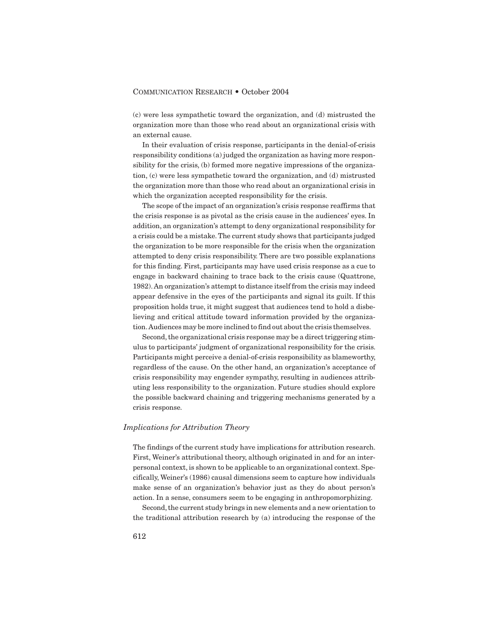(c) were less sympathetic toward the organization, and (d) mistrusted the organization more than those who read about an organizational crisis with an external cause.

In their evaluation of crisis response, participants in the denial-of-crisis responsibility conditions (a) judged the organization as having more responsibility for the crisis, (b) formed more negative impressions of the organization, (c) were less sympathetic toward the organization, and (d) mistrusted the organization more than those who read about an organizational crisis in which the organization accepted responsibility for the crisis.

The scope of the impact of an organization's crisis response reaffirms that the crisis response is as pivotal as the crisis cause in the audiences' eyes. In addition, an organization's attempt to deny organizational responsibility for a crisis could be a mistake. The current study shows that participants judged the organization to be more responsible for the crisis when the organization attempted to deny crisis responsibility. There are two possible explanations for this finding. First, participants may have used crisis response as a cue to engage in backward chaining to trace back to the crisis cause (Quattrone, 1982). An organization's attempt to distance itself from the crisis may indeed appear defensive in the eyes of the participants and signal its guilt. If this proposition holds true, it might suggest that audiences tend to hold a disbelieving and critical attitude toward information provided by the organization.Audiences may be more inclined to find out about the crisis themselves.

Second, the organizational crisis response may be a direct triggering stimulus to participants' judgment of organizational responsibility for the crisis. Participants might perceive a denial-of-crisis responsibility as blameworthy, regardless of the cause. On the other hand, an organization's acceptance of crisis responsibility may engender sympathy, resulting in audiences attributing less responsibility to the organization. Future studies should explore the possible backward chaining and triggering mechanisms generated by a crisis response.

## *Implications for Attribution Theory*

The findings of the current study have implications for attribution research. First, Weiner's attributional theory, although originated in and for an interpersonal context, is shown to be applicable to an organizational context. Specifically, Weiner's (1986) causal dimensions seem to capture how individuals make sense of an organization's behavior just as they do about person's action. In a sense, consumers seem to be engaging in anthropomorphizing.

Second, the current study brings in new elements and a new orientation to the traditional attribution research by (a) introducing the response of the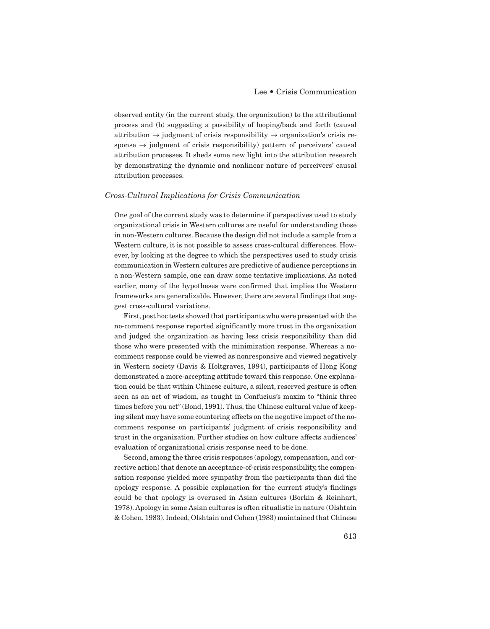observed entity (in the current study, the organization) to the attributional process and (b) suggesting a possibility of looping/back and forth (causal attribution  $\rightarrow$  judgment of crisis responsibility  $\rightarrow$  organization's crisis response  $\rightarrow$  judgment of crisis responsibility) pattern of perceivers' causal attribution processes. It sheds some new light into the attribution research by demonstrating the dynamic and nonlinear nature of perceivers' causal attribution processes.

### *Cross-Cultural Implications for Crisis Communication*

One goal of the current study was to determine if perspectives used to study organizational crisis in Western cultures are useful for understanding those in non-Western cultures. Because the design did not include a sample from a Western culture, it is not possible to assess cross-cultural differences. However, by looking at the degree to which the perspectives used to study crisis communication in Western cultures are predictive of audience perceptions in a non-Western sample, one can draw some tentative implications. As noted earlier, many of the hypotheses were confirmed that implies the Western frameworks are generalizable. However, there are several findings that suggest cross-cultural variations.

First,post hoc tests showed that participants who were presented with the no-comment response reported significantly more trust in the organization and judged the organization as having less crisis responsibility than did those who were presented with the minimization response. Whereas a nocomment response could be viewed as nonresponsive and viewed negatively in Western society (Davis & Holtgraves, 1984), participants of Hong Kong demonstrated a more-accepting attitude toward this response. One explanation could be that within Chinese culture, a silent, reserved gesture is often seen as an act of wisdom, as taught in Confucius's maxim to "think three times before you act" (Bond, 1991). Thus, the Chinese cultural value of keeping silent may have some countering effects on the negative impact of the nocomment response on participants' judgment of crisis responsibility and trust in the organization. Further studies on how culture affects audiences' evaluation of organizational crisis response need to be done.

Second, among the three crisis responses (apology, compensation, and corrective action) that denote an acceptance-of-crisis responsibility, the compensation response yielded more sympathy from the participants than did the apology response. A possible explanation for the current study's findings could be that apology is overused in Asian cultures (Borkin & Reinhart, 1978). Apology in some Asian cultures is often ritualistic in nature (Olshtain & Cohen, 1983). Indeed, Olshtain and Cohen (1983) maintained that Chinese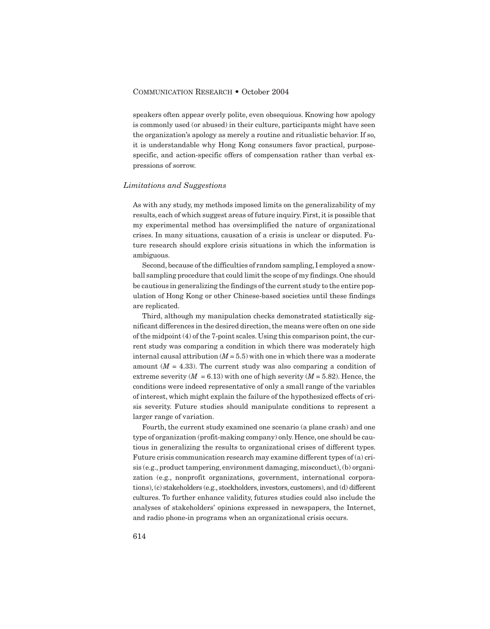speakers often appear overly polite, even obsequious. Knowing how apology is commonly used (or abused) in their culture, participants might have seen the organization's apology as merely a routine and ritualistic behavior. If so, it is understandable why Hong Kong consumers favor practical, purposespecific, and action-specific offers of compensation rather than verbal expressions of sorrow.

## *Limitations and Suggestions*

As with any study, my methods imposed limits on the generalizability of my results, each of which suggest areas of future inquiry. First, it is possible that my experimental method has oversimplified the nature of organizational crises. In many situations, causation of a crisis is unclear or disputed. Future research should explore crisis situations in which the information is ambiguous.

Second, because of the difficulties of random sampling, I employed a snowball sampling procedure that could limit the scope of my findings. One should be cautious in generalizing the findings of the current study to the entire population of Hong Kong or other Chinese-based societies until these findings are replicated.

Third, although my manipulation checks demonstrated statistically significant differences in the desired direction, the means were often on one side of the midpoint (4) of the 7-point scales. Using this comparison point, the current study was comparing a condition in which there was moderately high internal causal attribution  $(M = 5.5)$  with one in which there was a moderate amount  $(M = 4.33)$ . The current study was also comparing a condition of extreme severity  $(M = 6.13)$  with one of high severity  $(M = 5.82)$ . Hence, the conditions were indeed representative of only a small range of the variables of interest, which might explain the failure of the hypothesized effects of crisis severity. Future studies should manipulate conditions to represent a larger range of variation.

Fourth, the current study examined one scenario (a plane crash) and one type of organization (profit-making company) only. Hence, one should be cautious in generalizing the results to organizational crises of different types. Future crisis communication research may examine different types of (a) crisis (e.g., product tampering, environment damaging, misconduct), (b) organization (e.g., nonprofit organizations, government, international corporations), (c) stakeholders (e.g., stockholders, investors, customers), and (d) different cultures. To further enhance validity, futures studies could also include the analyses of stakeholders' opinions expressed in newspapers, the Internet, and radio phone-in programs when an organizational crisis occurs.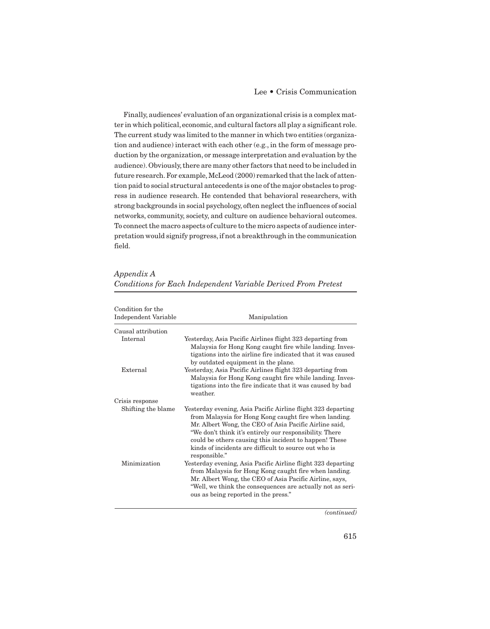Finally, audiences' evaluation of an organizational crisis is a complex matter in which political,economic,and cultural factors all play a significant role. The current study was limited to the manner in which two entities (organization and audience) interact with each other (e.g., in the form of message production by the organization, or message interpretation and evaluation by the audience). Obviously, there are many other factors that need to be included in future research. For example,McLeod (2000) remarked that the lack of attention paid to social structural antecedents is one of the major obstacles to progress in audience research. He contended that behavioral researchers, with strong backgrounds in social psychology, often neglect the influences of social networks, community, society, and culture on audience behavioral outcomes. To connect the macro aspects of culture to the micro aspects of audience interpretation would signify progress,if not a breakthrough in the communication field.

| Condition for the<br>Independent Variable | Manipulation                                                                                                                                                                                                                                                                                                                                                                   |
|-------------------------------------------|--------------------------------------------------------------------------------------------------------------------------------------------------------------------------------------------------------------------------------------------------------------------------------------------------------------------------------------------------------------------------------|
| Causal attribution                        |                                                                                                                                                                                                                                                                                                                                                                                |
| Internal                                  | Yesterday, Asia Pacific Airlines flight 323 departing from<br>Malaysia for Hong Kong caught fire while landing. Inves-<br>tigations into the airline fire indicated that it was caused<br>by outdated equipment in the plane.                                                                                                                                                  |
| External                                  | Yesterday, Asia Pacific Airlines flight 323 departing from<br>Malaysia for Hong Kong caught fire while landing. Inves-<br>tigations into the fire indicate that it was caused by bad<br>weather.                                                                                                                                                                               |
| Crisis response                           |                                                                                                                                                                                                                                                                                                                                                                                |
| Shifting the blame                        | Yesterday evening, Asia Pacific Airline flight 323 departing<br>from Malaysia for Hong Kong caught fire when landing.<br>Mr. Albert Wong, the CEO of Asia Pacific Airline said,<br>"We don't think it's entirely our responsibility. There<br>could be others causing this incident to happen! These<br>kinds of incidents are difficult to source out who is<br>responsible." |
| Minimization                              | Yesterday evening, Asia Pacific Airline flight 323 departing<br>from Malaysia for Hong Kong caught fire when landing.<br>Mr. Albert Wong, the CEO of Asia Pacific Airline, says,<br>"Well, we think the consequences are actually not as seri-<br>ous as being reported in the press."                                                                                         |

*Appendix A Conditions for Each Independent Variable Derived From Pretest*

*(continued)*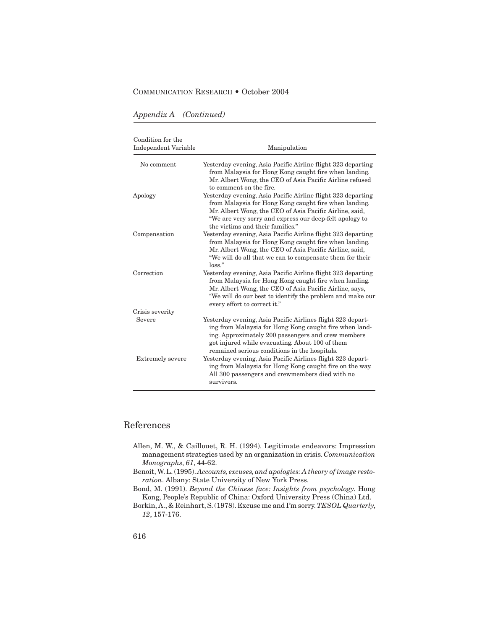*Appendix A (Continued)*

| Condition for the<br><b>Independent Variable</b> | Manipulation                                                                                                                                                                                                                                                                    |
|--------------------------------------------------|---------------------------------------------------------------------------------------------------------------------------------------------------------------------------------------------------------------------------------------------------------------------------------|
| No comment                                       | Yesterday evening, Asia Pacific Airline flight 323 departing<br>from Malaysia for Hong Kong caught fire when landing.<br>Mr. Albert Wong, the CEO of Asia Pacific Airline refused<br>to comment on the fire.                                                                    |
| Apology                                          | Yesterday evening, Asia Pacific Airline flight 323 departing<br>from Malaysia for Hong Kong caught fire when landing.<br>Mr. Albert Wong, the CEO of Asia Pacific Airline, said,<br>"We are very sorry and express our deep-felt apology to<br>the victims and their families." |
| Compensation                                     | Yesterday evening, Asia Pacific Airline flight 323 departing<br>from Malaysia for Hong Kong caught fire when landing.<br>Mr. Albert Wong, the CEO of Asia Pacific Airline, said,<br>"We will do all that we can to compensate them for their<br>$loss.$ "                       |
| Correction                                       | Yesterday evening, Asia Pacific Airline flight 323 departing<br>from Malaysia for Hong Kong caught fire when landing.<br>Mr. Albert Wong, the CEO of Asia Pacific Airline, says,<br>"We will do our best to identify the problem and make our<br>every effort to correct it."   |
| Crisis severity                                  |                                                                                                                                                                                                                                                                                 |
| Severe                                           | Yesterday evening, Asia Pacific Airlines flight 323 depart-<br>ing from Malaysia for Hong Kong caught fire when land-<br>ing. Approximately 200 passengers and crew members<br>got injured while evacuating. About 100 of them<br>remained serious conditions in the hospitals. |
| Extremely severe                                 | Yesterday evening, Asia Pacific Airlines flight 323 depart-<br>ing from Malaysia for Hong Kong caught fire on the way.<br>All 300 passengers and crewmembers died with no<br>survivors.                                                                                         |

# References

- Allen, M. W., & Caillouet, R. H. (1994). Legitimate endeavors: Impression management strategies used by an organization in crisis. *Communication Monographs*, *61*, 44-62.
- Benoit, W. L. (1995). *Accounts, excuses, and apologies: A theory of image restoration*. Albany: State University of New York Press.
- Bond, M. (1991). *Beyond the Chinese face: Insights from psychology*. Hong Kong, People's Republic of China: Oxford University Press (China) Ltd.
- Borkin, A., & Reinhart, S. (1978). Excuse me and I'm sorry.*TESOL Quarterly*, *12*, 157-176.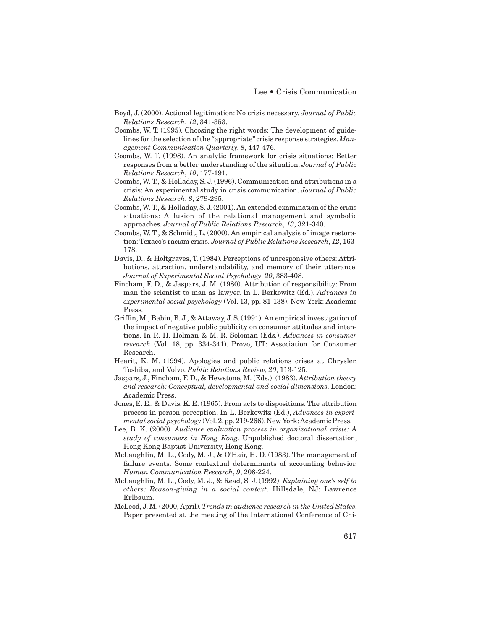- Boyd, J. (2000). Actional legitimation: No crisis necessary. *Journal of Public Relations Research*, *12*, 341-353.
- Coombs, W. T. (1995). Choosing the right words: The development of guidelines for the selection of the "appropriate" crisis response strategies. *Management Communication Quarterly*, *8*, 447-476.
- Coombs, W. T. (1998). An analytic framework for crisis situations: Better responses from a better understanding of the situation. *Journal of Public Relations Research*, *10*, 177-191.
- Coombs, W. T., & Holladay, S. J. (1996). Communication and attributions in a crisis: An experimental study in crisis communication. *Journal of Public Relations Research*, *8*, 279-295.
- Coombs, W. T., & Holladay, S. J. (2001). An extended examination of the crisis situations: A fusion of the relational management and symbolic approaches. *Journal of Public Relations Research*, *13*, 321-340.
- Coombs, W. T., & Schmidt, L. (2000). An empirical analysis of image restoration: Texaco's racism crisis. *Journal of Public Relations Research*, *12*, 163- 178.
- Davis, D., & Holtgraves, T. (1984). Perceptions of unresponsive others: Attributions, attraction, understandability, and memory of their utterance. *Journal of Experimental Social Psychology*, *20*, 383-408.
- Fincham, F. D., & Jaspars, J. M. (1980). Attribution of responsibility: From man the scientist to man as lawyer. In L. Berkowitz (Ed.), *Advances in experimental social psychology* (Vol. 13, pp. 81-138). New York: Academic Press.
- Griffin, M., Babin, B. J., & Attaway, J. S. (1991). An empirical investigation of the impact of negative public publicity on consumer attitudes and intentions. In R. H. Holman & M. R. Soloman (Eds.), *Advances in consumer research* (Vol. 18, pp. 334-341). Provo, UT: Association for Consumer Research.
- Hearit, K. M. (1994). Apologies and public relations crises at Chrysler, Toshiba, and Volvo. *Public Relations Review*, *20*, 113-125.
- Jaspars, J., Fincham, F. D., & Hewstone, M. (Eds.). (1983). *Attribution theory and research: Conceptual, developmental and social dimensions*. London: Academic Press.
- Jones, E. E., & Davis, K. E. (1965). From acts to dispositions: The attribution process in person perception. In L. Berkowitz (Ed.), *Advances in experimental social psychology* (Vol. 2, pp. 219-266). New York: Academic Press.
- Lee, B. K. (2000). *Audience evaluation process in organizational crisis: A study of consumers in Hong Kong*. Unpublished doctoral dissertation, Hong Kong Baptist University, Hong Kong.
- McLaughlin, M. L., Cody, M. J., & O'Hair, H. D. (1983). The management of failure events: Some contextual determinants of accounting behavior. *Human Communication Research*, *9*, 208-224.
- McLaughlin, M. L., Cody, M. J., & Read, S. J. (1992). *Explaining one's self to others: Reason-giving in a social context*. Hillsdale, NJ: Lawrence Erlbaum.
- McLeod, J. M. (2000, April).*Trends in audience research in the United States*. Paper presented at the meeting of the International Conference of Chi-